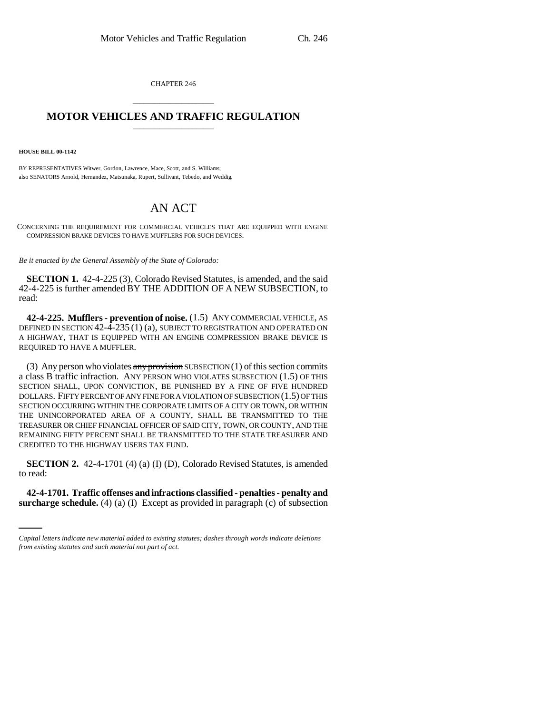CHAPTER 246 \_\_\_\_\_\_\_\_\_\_\_\_\_\_\_

## **MOTOR VEHICLES AND TRAFFIC REGULATION**

**HOUSE BILL 00-1142** 

BY REPRESENTATIVES Witwer, Gordon, Lawrence, Mace, Scott, and S. Williams; also SENATORS Arnold, Hernandez, Matsunaka, Rupert, Sullivant, Tebedo, and Weddig.

## AN ACT

CONCERNING THE REQUIREMENT FOR COMMERCIAL VEHICLES THAT ARE EQUIPPED WITH ENGINE COMPRESSION BRAKE DEVICES TO HAVE MUFFLERS FOR SUCH DEVICES.

*Be it enacted by the General Assembly of the State of Colorado:*

**SECTION 1.** 42-4-225 (3), Colorado Revised Statutes, is amended, and the said 42-4-225 is further amended BY THE ADDITION OF A NEW SUBSECTION, to read:

**42-4-225. Mufflers - prevention of noise.** (1.5) ANY COMMERCIAL VEHICLE, AS DEFINED IN SECTION 42-4-235 (1) (a), SUBJECT TO REGISTRATION AND OPERATED ON A HIGHWAY, THAT IS EQUIPPED WITH AN ENGINE COMPRESSION BRAKE DEVICE IS REQUIRED TO HAVE A MUFFLER.

(3) Any person who violates  $\frac{any \text{ provision}}{3}$  SUBSECTION (1) of this section commits a class B traffic infraction. ANY PERSON WHO VIOLATES SUBSECTION (1.5) OF THIS SECTION SHALL, UPON CONVICTION, BE PUNISHED BY A FINE OF FIVE HUNDRED DOLLARS. FIFTY PERCENT OF ANY FINE FOR A VIOLATION OF SUBSECTION (1.5) OF THIS SECTION OCCURRING WITHIN THE CORPORATE LIMITS OF A CITY OR TOWN, OR WITHIN THE UNINCORPORATED AREA OF A COUNTY, SHALL BE TRANSMITTED TO THE TREASURER OR CHIEF FINANCIAL OFFICER OF SAID CITY, TOWN, OR COUNTY, AND THE REMAINING FIFTY PERCENT SHALL BE TRANSMITTED TO THE STATE TREASURER AND CREDITED TO THE HIGHWAY USERS TAX FUND.

**SECTION 2.** 42-4-1701 (4) (a) (I) (D), Colorado Revised Statutes, is amended to read:

**42-4-1701. Traffic offenses and infractions classified - penalties - penalty and surcharge schedule.** (4) (a) (I) Except as provided in paragraph (c) of subsection

*Capital letters indicate new material added to existing statutes; dashes through words indicate deletions from existing statutes and such material not part of act.*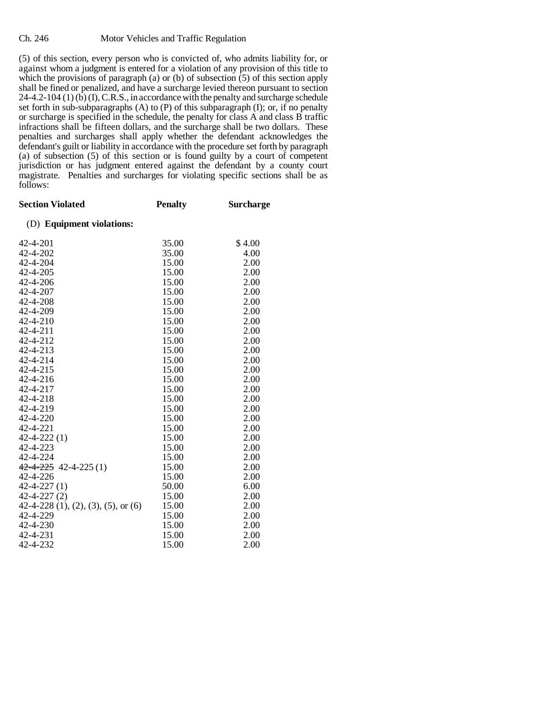(5) of this section, every person who is convicted of, who admits liability for, or against whom a judgment is entered for a violation of any provision of this title to which the provisions of paragraph (a) or (b) of subsection  $(5)$  of this section apply shall be fined or penalized, and have a surcharge levied thereon pursuant to section  $24-4.2-104(1)(b)(I), C.R.S.,$  in accordance with the penalty and surcharge schedule set forth in sub-subparagraphs (A) to (P) of this subparagraph (I); or, if no penalty or surcharge is specified in the schedule, the penalty for class A and class B traffic infractions shall be fifteen dollars, and the surcharge shall be two dollars. These penalties and surcharges shall apply whether the defendant acknowledges the defendant's guilt or liability in accordance with the procedure set forth by paragraph (a) of subsection (5) of this section or is found guilty by a court of competent jurisdiction or has judgment entered against the defendant by a county court magistrate. Penalties and surcharges for violating specific sections shall be as follows:

| <b>Section Violated</b>               | <b>Penalty</b> | <b>Surcharge</b> |
|---------------------------------------|----------------|------------------|
| (D) Equipment violations:             |                |                  |
| 42-4-201                              | 35.00          | \$4.00           |
| 42-4-202                              | 35.00          | 4.00             |
| 42-4-204                              | 15.00          | 2.00             |
| 42-4-205                              | 15.00          | 2.00             |
| 42-4-206                              | 15.00          | 2.00             |
| 42-4-207                              | 15.00          | 2.00             |
| 42-4-208                              | 15.00          | 2.00             |
| 42-4-209                              | 15.00          | 2.00             |
| 42-4-210                              | 15.00          | 2.00             |
| 42-4-211                              | 15.00          | 2.00             |
| 42-4-212                              | 15.00          | 2.00             |
| 42-4-213                              | 15.00          | 2.00             |
| 42-4-214                              | 15.00          | 2.00             |
| 42-4-215                              | 15.00          | 2.00             |
| 42-4-216                              | 15.00          | 2.00             |
| 42-4-217                              | 15.00          | 2.00             |
| 42-4-218                              | 15.00          | 2.00             |
| 42-4-219                              | 15.00          | 2.00             |
| 42-4-220                              | 15.00          | 2.00             |
| 42-4-221                              | 15.00          | 2.00             |
| $42 - 4 - 222(1)$                     | 15.00          | 2.00             |
| 42-4-223                              | 15.00          | 2.00             |
| 42-4-224                              | 15.00          | 2.00             |
| $42 - 4 - 225$ 42-4-225 (1)           | 15.00          | 2.00             |
| 42-4-226                              | 15.00          | 2.00             |
| $42 - 4 - 227(1)$                     | 50.00          | 6.00             |
| $42 - 4 - 227(2)$                     | 15.00          | 2.00             |
| $42-4-228$ (1), (2), (3), (5), or (6) | 15.00          | 2.00             |
| 42-4-229                              | 15.00          | 2.00             |
| 42-4-230                              | 15.00          | 2.00             |
| 42-4-231                              | 15.00          | 2.00             |
| 42-4-232                              | 15.00          | 2.00             |